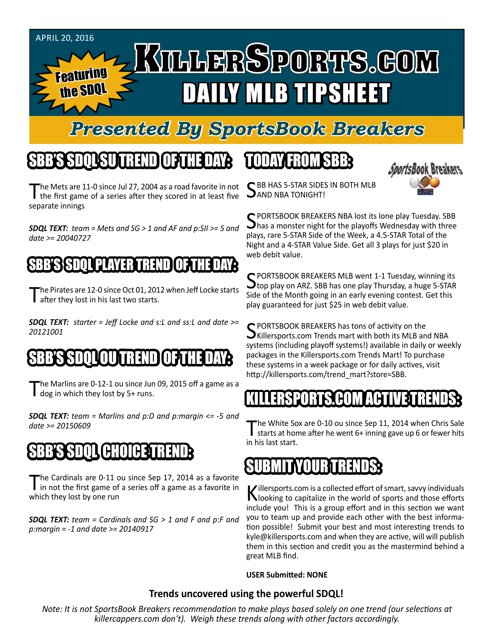

#### *Presented By SportsBook Breakers*

## SBB'S SDQL SU TREND OF THE DAY:

The Mets are 11-0 since Jul 27, 2004 as a road favorite in not the first game of a series after they scored in at least five separate innings

*SDQL TEXT: team = Mets and SG > 1 and AF and p:SII >= 5 and date >= 20040727*

#### SBB'S SSPOLL PLAYER T

'he Pirates are 12-0 since Oct 01, 2012 when Jeff Locke starts after they lost in his last two starts.

*SDQL TEXT: starter = Jeff Locke and s:L and ss:L and date >= 20121001*

#### SBB'S SDQLOU TREND OF THE DAY:

he Marlins are 0-12-1 ou since Jun 09, 2015 off a game as a  $\Box$  dog in which they lost by 5+ runs.

*SDQL TEXT: team = Marlins and p:D and p:margin <= -5 and date >= 20150609*

## SBB'S SDQL CHOICE TREND

The Cardinals are 0-11 ou since Sep 17, 2014 as a favorite<br>in not the first game of a series off a game as a favorite in which they lost by one run

*SDQL TEXT: team = Cardinals and SG > 1 and F and p:F and p:margin = -1 and date >= 20140917*

## TODAY HAOMSBB



C BB HAS 5-STAR SIDES IN BOTH MLB **JAND NBA TONIGHT!** 

SPORTSBOOK BREAKERS NBA lost its lone play Tuesday. SBB<br>Shas a monster night for the playoffs Wednesday with three plays, rare 5-STAR Side of the Week, a 4.5-STAR Total of the Night and a 4-STAR Value Side. Get all 3 plays for just \$20 in web debit value.

SPORTSBOOK BREAKERS MLB went 1-1 Tuesday, winning its<br>Stop play on ARZ. SBB has one play Thursday, a huge 5-STAR Side of the Month going in an early evening contest. Get this play guaranteed for just \$25 in web debit value.

SPORTSBOOK BREAKERS has tons of activity on the<br>SKillersports.com Trends mart with both its MLB and NBA systems (including playoff systems!) available in daily or weekly packages in the Killersports.com Trends Mart! To purchase these systems in a week package or for daily actives, visit http://killersports.com/trend\_mart?store=SBB.

#### KILLERSPORTS.COM ACTIVE TRENDS:

he White Sox are 0-10 ou since Sep 11, 2014 when Chris Sale starts at home after he went 6+ inning gave up 6 or fewer hits in his last start.

#### SUBMITYOURTRENDS:

Killersports.com is a collected effort of smart, savvy individuals<br>Nooking to capitalize in the world of sports and those efforts include you! This is a group effort and in this section we want you to team up and provide each other with the best information possible! Submit your best and most interesting trends to kyle@killersports.com and when they are active, will will publish them in this section and credit you as the mastermind behind a great MLB find.

#### **USER Submitted: NONE**

#### **Trends uncovered using the powerful SDQL!**

*Note: It is not SportsBook Breakers recommendation to make plays based solely on one trend (our selections at killercappers.com don't). Weigh these trends along with other factors accordingly.*